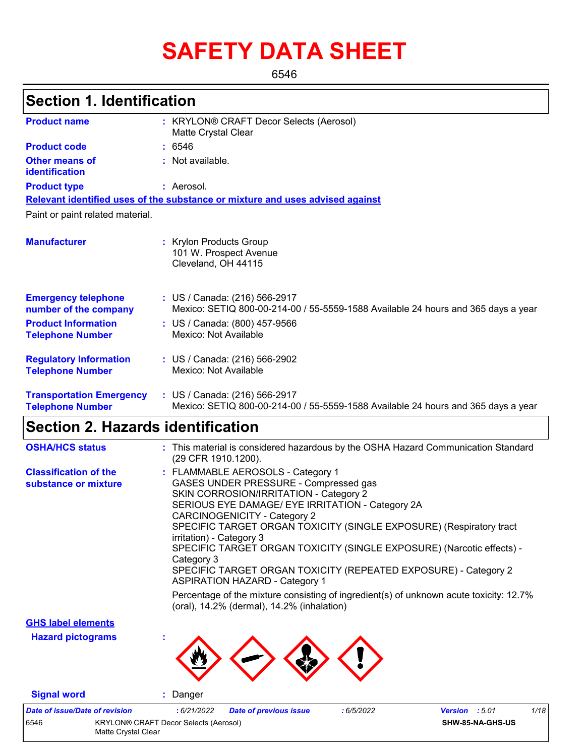# **SAFETY DATA SHEET**

6546

### **Section 1. Identification**

| <b>Product name</b>                                        | : KRYLON® CRAFT Decor Selects (Aerosol)<br>Matte Crystal Clear                                                     |
|------------------------------------------------------------|--------------------------------------------------------------------------------------------------------------------|
| <b>Product code</b>                                        | : 6546                                                                                                             |
| <b>Other means of</b><br>identification                    | : Not available.                                                                                                   |
| <b>Product type</b>                                        | : Aerosol.                                                                                                         |
|                                                            | Relevant identified uses of the substance or mixture and uses advised against                                      |
| Paint or paint related material.                           |                                                                                                                    |
| <b>Manufacturer</b>                                        | : Krylon Products Group<br>101 W. Prospect Avenue<br>Cleveland, OH 44115                                           |
| <b>Emergency telephone</b><br>number of the company        | : US / Canada: (216) 566-2917<br>Mexico: SETIQ 800-00-214-00 / 55-5559-1588 Available 24 hours and 365 days a year |
| <b>Product Information</b><br><b>Telephone Number</b>      | : US / Canada: (800) 457-9566<br>Mexico: Not Available                                                             |
| <b>Regulatory Information</b><br><b>Telephone Number</b>   | : US / Canada: (216) 566-2902<br>Mexico: Not Available                                                             |
| <b>Transportation Emergency</b><br><b>Telephone Number</b> | : US / Canada: (216) 566-2917<br>Mexico: SETIQ 800-00-214-00 / 55-5559-1588 Available 24 hours and 365 days a year |

### **Section 2. Hazards identification**

| <b>OSHA/HCS status</b>                               | : This material is considered hazardous by the OSHA Hazard Communication Standard<br>(29 CFR 1910.1200).                                                                                                                                                                                                                                                                                                                                                                                                              |
|------------------------------------------------------|-----------------------------------------------------------------------------------------------------------------------------------------------------------------------------------------------------------------------------------------------------------------------------------------------------------------------------------------------------------------------------------------------------------------------------------------------------------------------------------------------------------------------|
| <b>Classification of the</b><br>substance or mixture | : FLAMMABLE AEROSOLS - Category 1<br>GASES UNDER PRESSURE - Compressed gas<br>SKIN CORROSION/IRRITATION - Category 2<br>SERIOUS EYE DAMAGE/ EYE IRRITATION - Category 2A<br><b>CARCINOGENICITY - Category 2</b><br>SPECIFIC TARGET ORGAN TOXICITY (SINGLE EXPOSURE) (Respiratory tract<br>irritation) - Category 3<br>SPECIFIC TARGET ORGAN TOXICITY (SINGLE EXPOSURE) (Narcotic effects) -<br>Category 3<br>SPECIFIC TARGET ORGAN TOXICITY (REPEATED EXPOSURE) - Category 2<br><b>ASPIRATION HAZARD - Category 1</b> |
|                                                      | Percentage of the mixture consisting of ingredient(s) of unknown acute toxicity: 12.7%<br>(oral), 14.2% (dermal), 14.2% (inhalation)                                                                                                                                                                                                                                                                                                                                                                                  |
| <b>GHS label elements</b>                            |                                                                                                                                                                                                                                                                                                                                                                                                                                                                                                                       |
| <b>Hazard pictograms</b>                             |                                                                                                                                                                                                                                                                                                                                                                                                                                                                                                                       |

**Signal word :** Danger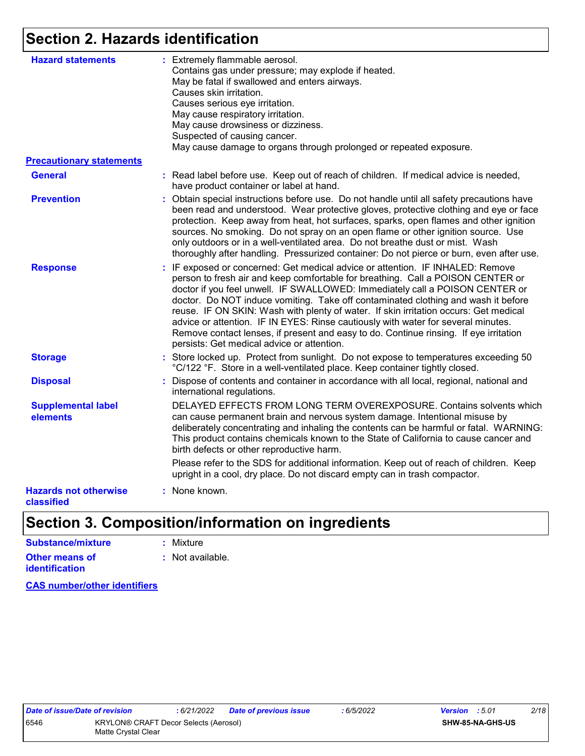### **Section 2. Hazards identification**

| <b>Hazard statements</b>                   | : Extremely flammable aerosol.<br>Contains gas under pressure; may explode if heated.<br>May be fatal if swallowed and enters airways.<br>Causes skin irritation.<br>Causes serious eye irritation.<br>May cause respiratory irritation.<br>May cause drowsiness or dizziness.<br>Suspected of causing cancer.<br>May cause damage to organs through prolonged or repeated exposure.                                                                                                                                                                                                                                                                       |
|--------------------------------------------|------------------------------------------------------------------------------------------------------------------------------------------------------------------------------------------------------------------------------------------------------------------------------------------------------------------------------------------------------------------------------------------------------------------------------------------------------------------------------------------------------------------------------------------------------------------------------------------------------------------------------------------------------------|
| <b>Precautionary statements</b>            |                                                                                                                                                                                                                                                                                                                                                                                                                                                                                                                                                                                                                                                            |
| <b>General</b>                             | : Read label before use. Keep out of reach of children. If medical advice is needed,<br>have product container or label at hand.                                                                                                                                                                                                                                                                                                                                                                                                                                                                                                                           |
| <b>Prevention</b>                          | : Obtain special instructions before use. Do not handle until all safety precautions have<br>been read and understood. Wear protective gloves, protective clothing and eye or face<br>protection. Keep away from heat, hot surfaces, sparks, open flames and other ignition<br>sources. No smoking. Do not spray on an open flame or other ignition source. Use<br>only outdoors or in a well-ventilated area. Do not breathe dust or mist. Wash<br>thoroughly after handling. Pressurized container: Do not pierce or burn, even after use.                                                                                                               |
| <b>Response</b>                            | : IF exposed or concerned: Get medical advice or attention. IF INHALED: Remove<br>person to fresh air and keep comfortable for breathing. Call a POISON CENTER or<br>doctor if you feel unwell. IF SWALLOWED: Immediately call a POISON CENTER or<br>doctor. Do NOT induce vomiting. Take off contaminated clothing and wash it before<br>reuse. IF ON SKIN: Wash with plenty of water. If skin irritation occurs: Get medical<br>advice or attention. IF IN EYES: Rinse cautiously with water for several minutes.<br>Remove contact lenses, if present and easy to do. Continue rinsing. If eye irritation<br>persists: Get medical advice or attention. |
| <b>Storage</b>                             | : Store locked up. Protect from sunlight. Do not expose to temperatures exceeding 50<br>°C/122 °F. Store in a well-ventilated place. Keep container tightly closed.                                                                                                                                                                                                                                                                                                                                                                                                                                                                                        |
| <b>Disposal</b>                            | : Dispose of contents and container in accordance with all local, regional, national and<br>international regulations.                                                                                                                                                                                                                                                                                                                                                                                                                                                                                                                                     |
| <b>Supplemental label</b><br>elements      | DELAYED EFFECTS FROM LONG TERM OVEREXPOSURE. Contains solvents which<br>can cause permanent brain and nervous system damage. Intentional misuse by<br>deliberately concentrating and inhaling the contents can be harmful or fatal. WARNING:<br>This product contains chemicals known to the State of California to cause cancer and<br>birth defects or other reproductive harm.                                                                                                                                                                                                                                                                          |
|                                            | Please refer to the SDS for additional information. Keep out of reach of children. Keep<br>upright in a cool, dry place. Do not discard empty can in trash compactor.                                                                                                                                                                                                                                                                                                                                                                                                                                                                                      |
| <b>Hazards not otherwise</b><br>classified | : None known.                                                                                                                                                                                                                                                                                                                                                                                                                                                                                                                                                                                                                                              |

### **Section 3. Composition/information on ingredients**

| Substance/mixture                       | : Mixture                   |
|-----------------------------------------|-----------------------------|
| <b>Other means of</b><br>identification | $\therefore$ Not available. |
|                                         |                             |

**CAS number/other identifiers**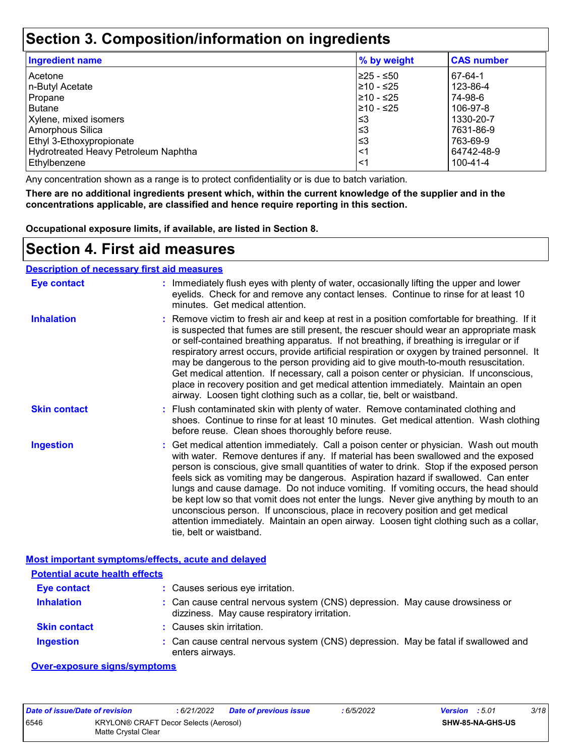### **Section 3. Composition/information on ingredients**

| <b>Ingredient name</b>               | % by weight | <b>CAS number</b> |
|--------------------------------------|-------------|-------------------|
| Acetone                              | 225 - ≤50   | 67-64-1           |
| n-Butyl Acetate                      | 210 - ≤25   | 123-86-4          |
| Propane                              | 210 - ≤25   | 74-98-6           |
| <b>Butane</b>                        | 210 - ≤25   | 106-97-8          |
| Xylene, mixed isomers                | ∣≤3         | 1330-20-7         |
| Amorphous Silica                     | l≤3         | 7631-86-9         |
| Ethyl 3-Ethoxypropionate             | '≤3         | 763-69-9          |
| Hydrotreated Heavy Petroleum Naphtha | $\leq$ 1    | 64742-48-9        |
| Ethylbenzene                         | $\leq$ 1    | 100-41-4          |

Any concentration shown as a range is to protect confidentiality or is due to batch variation.

**There are no additional ingredients present which, within the current knowledge of the supplier and in the concentrations applicable, are classified and hence require reporting in this section.**

**Occupational exposure limits, if available, are listed in Section 8.**

### **Section 4. First aid measures**

#### **Description of necessary first aid measures**

| <b>Eye contact</b>                                        | : Immediately flush eyes with plenty of water, occasionally lifting the upper and lower<br>eyelids. Check for and remove any contact lenses. Continue to rinse for at least 10<br>minutes. Get medical attention.                                                                                                                                                                                                                                                                                                                                                                                                                                                                                                                                       |
|-----------------------------------------------------------|---------------------------------------------------------------------------------------------------------------------------------------------------------------------------------------------------------------------------------------------------------------------------------------------------------------------------------------------------------------------------------------------------------------------------------------------------------------------------------------------------------------------------------------------------------------------------------------------------------------------------------------------------------------------------------------------------------------------------------------------------------|
| <b>Inhalation</b>                                         | : Remove victim to fresh air and keep at rest in a position comfortable for breathing. If it<br>is suspected that fumes are still present, the rescuer should wear an appropriate mask<br>or self-contained breathing apparatus. If not breathing, if breathing is irregular or if<br>respiratory arrest occurs, provide artificial respiration or oxygen by trained personnel. It<br>may be dangerous to the person providing aid to give mouth-to-mouth resuscitation.<br>Get medical attention. If necessary, call a poison center or physician. If unconscious,<br>place in recovery position and get medical attention immediately. Maintain an open<br>airway. Loosen tight clothing such as a collar, tie, belt or waistband.                    |
| <b>Skin contact</b>                                       | : Flush contaminated skin with plenty of water. Remove contaminated clothing and<br>shoes. Continue to rinse for at least 10 minutes. Get medical attention. Wash clothing<br>before reuse. Clean shoes thoroughly before reuse.                                                                                                                                                                                                                                                                                                                                                                                                                                                                                                                        |
| <b>Ingestion</b>                                          | : Get medical attention immediately. Call a poison center or physician. Wash out mouth<br>with water. Remove dentures if any. If material has been swallowed and the exposed<br>person is conscious, give small quantities of water to drink. Stop if the exposed person<br>feels sick as vomiting may be dangerous. Aspiration hazard if swallowed. Can enter<br>lungs and cause damage. Do not induce vomiting. If vomiting occurs, the head should<br>be kept low so that vomit does not enter the lungs. Never give anything by mouth to an<br>unconscious person. If unconscious, place in recovery position and get medical<br>attention immediately. Maintain an open airway. Loosen tight clothing such as a collar,<br>tie, belt or waistband. |
| <b>Most important symptoms/effects, acute and delayed</b> |                                                                                                                                                                                                                                                                                                                                                                                                                                                                                                                                                                                                                                                                                                                                                         |

| <b>Potential acute health effects</b> |                                                                                                                              |  |
|---------------------------------------|------------------------------------------------------------------------------------------------------------------------------|--|
| <b>Eye contact</b>                    | : Causes serious eye irritation.                                                                                             |  |
| <b>Inhalation</b>                     | : Can cause central nervous system (CNS) depression. May cause drowsiness or<br>dizziness. May cause respiratory irritation. |  |
| <b>Skin contact</b>                   | : Causes skin irritation.                                                                                                    |  |
| <b>Ingestion</b>                      | : Can cause central nervous system (CNS) depression. May be fatal if swallowed and<br>enters airways.                        |  |

#### **Over-exposure signs/symptoms**

| Date of issue/Date of revision                                       |  | : 6/21/2022 | <b>Date of previous issue</b> | :6/5/2022 | <b>Version</b> : 5.01 |  | 3/18 |
|----------------------------------------------------------------------|--|-------------|-------------------------------|-----------|-----------------------|--|------|
| 6546<br>KRYLON® CRAFT Decor Selects (Aerosol)<br>Matte Crystal Clear |  |             |                               |           | SHW-85-NA-GHS-US      |  |      |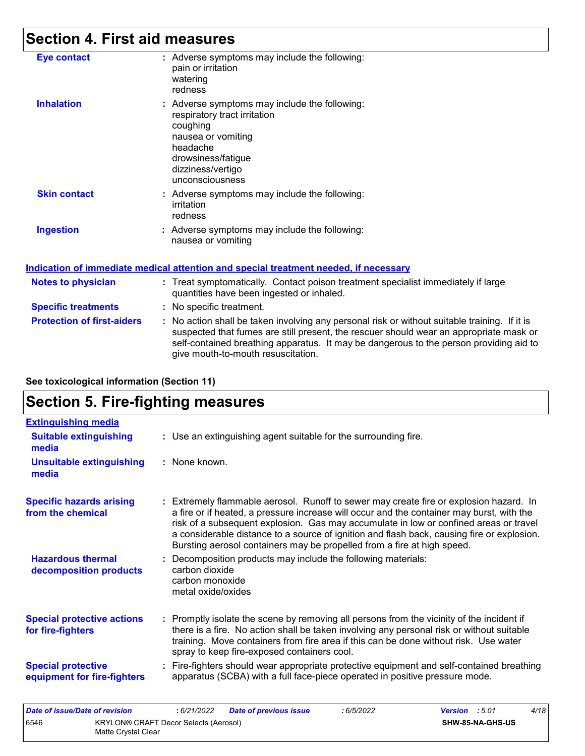### **Section 4. First aid measures**

| <b>Eye contact</b>        | : Adverse symptoms may include the following:<br>pain or irritation<br>watering<br>redness                                                                                                |
|---------------------------|-------------------------------------------------------------------------------------------------------------------------------------------------------------------------------------------|
| <b>Inhalation</b>         | : Adverse symptoms may include the following:<br>respiratory tract irritation<br>coughing<br>nausea or vomiting<br>headache<br>drowsiness/fatigue<br>dizziness/vertigo<br>unconsciousness |
| <b>Skin contact</b>       | : Adverse symptoms may include the following:<br>irritation<br>redness                                                                                                                    |
| <b>Ingestion</b>          | : Adverse symptoms may include the following:<br>nausea or vomiting                                                                                                                       |
|                           | <u>Indication of immediate medical attention and special treatment needed, if necessary</u>                                                                                               |
| <b>Notes to physician</b> | : Treat symptomatically. Contact poison treatment specialist immediately if large<br>quantities have been ingested or inhaled.                                                            |

- **Specific treatments :** No specific treatment.
- **Protection of first-aiders** : No action shall be taken involving any personal risk or without suitable training. If it is suspected that fumes are still present, the rescuer should wear an appropriate mask or self-contained breathing apparatus. It may be dangerous to the person providing aid to give mouth-to-mouth resuscitation.

| See toxicological information (Section 11) |  |  |
|--------------------------------------------|--|--|
|                                            |  |  |

### **Section 5. Fire-fighting measures**

| <b>Extinguishing media</b>                               |                                                                                                                                                                                                                                                                                                                                                                                                                                                       |
|----------------------------------------------------------|-------------------------------------------------------------------------------------------------------------------------------------------------------------------------------------------------------------------------------------------------------------------------------------------------------------------------------------------------------------------------------------------------------------------------------------------------------|
| <b>Suitable extinguishing</b><br>media                   | : Use an extinguishing agent suitable for the surrounding fire.                                                                                                                                                                                                                                                                                                                                                                                       |
| <b>Unsuitable extinguishing</b><br>media                 | : None known.                                                                                                                                                                                                                                                                                                                                                                                                                                         |
| <b>Specific hazards arising</b><br>from the chemical     | : Extremely flammable aerosol. Runoff to sewer may create fire or explosion hazard. In<br>a fire or if heated, a pressure increase will occur and the container may burst, with the<br>risk of a subsequent explosion. Gas may accumulate in low or confined areas or travel<br>a considerable distance to a source of ignition and flash back, causing fire or explosion.<br>Bursting aerosol containers may be propelled from a fire at high speed. |
| <b>Hazardous thermal</b><br>decomposition products       | Decomposition products may include the following materials:<br>carbon dioxide<br>carbon monoxide<br>metal oxide/oxides                                                                                                                                                                                                                                                                                                                                |
| <b>Special protective actions</b><br>for fire-fighters   | Promptly isolate the scene by removing all persons from the vicinity of the incident if<br>there is a fire. No action shall be taken involving any personal risk or without suitable<br>training. Move containers from fire area if this can be done without risk. Use water<br>spray to keep fire-exposed containers cool.                                                                                                                           |
| <b>Special protective</b><br>equipment for fire-fighters | Fire-fighters should wear appropriate protective equipment and self-contained breathing<br>apparatus (SCBA) with a full face-piece operated in positive pressure mode.                                                                                                                                                                                                                                                                                |

| Date of issue/Date of revision |                                                              | : 6/21/2022 | <b>Date of previous issue</b> | 6/5/2022 | <b>Version</b> : 5.01 |                         | 4/18 |
|--------------------------------|--------------------------------------------------------------|-------------|-------------------------------|----------|-----------------------|-------------------------|------|
| 6546                           | KRYLON® CRAFT Decor Selects (Aerosol)<br>Matte Crystal Clear |             |                               |          |                       | <b>SHW-85-NA-GHS-US</b> |      |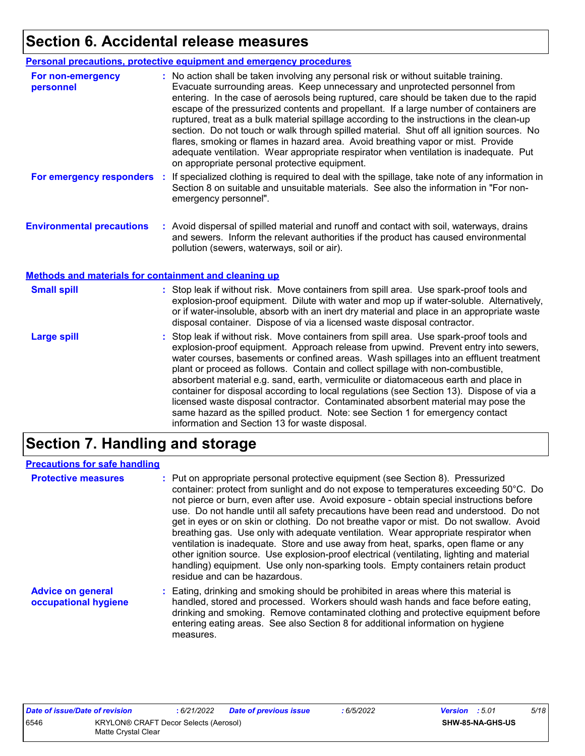# **Section 6. Accidental release measures**

|                                                       | <b>Personal precautions, protective equipment and emergency procedures</b>                                                                                                                                                                                                                                                                                                                                                                                                                                                                                                                                                                                                                                                                                                       |
|-------------------------------------------------------|----------------------------------------------------------------------------------------------------------------------------------------------------------------------------------------------------------------------------------------------------------------------------------------------------------------------------------------------------------------------------------------------------------------------------------------------------------------------------------------------------------------------------------------------------------------------------------------------------------------------------------------------------------------------------------------------------------------------------------------------------------------------------------|
| For non-emergency<br>personnel                        | : No action shall be taken involving any personal risk or without suitable training.<br>Evacuate surrounding areas. Keep unnecessary and unprotected personnel from<br>entering. In the case of aerosols being ruptured, care should be taken due to the rapid<br>escape of the pressurized contents and propellant. If a large number of containers are<br>ruptured, treat as a bulk material spillage according to the instructions in the clean-up<br>section. Do not touch or walk through spilled material. Shut off all ignition sources. No<br>flares, smoking or flames in hazard area. Avoid breathing vapor or mist. Provide<br>adequate ventilation. Wear appropriate respirator when ventilation is inadequate. Put<br>on appropriate personal protective equipment. |
| For emergency responders                              | : If specialized clothing is required to deal with the spillage, take note of any information in<br>Section 8 on suitable and unsuitable materials. See also the information in "For non-<br>emergency personnel".                                                                                                                                                                                                                                                                                                                                                                                                                                                                                                                                                               |
| <b>Environmental precautions</b>                      | : Avoid dispersal of spilled material and runoff and contact with soil, waterways, drains<br>and sewers. Inform the relevant authorities if the product has caused environmental<br>pollution (sewers, waterways, soil or air).                                                                                                                                                                                                                                                                                                                                                                                                                                                                                                                                                  |
| Methods and materials for containment and cleaning up |                                                                                                                                                                                                                                                                                                                                                                                                                                                                                                                                                                                                                                                                                                                                                                                  |
| <b>Small spill</b>                                    | : Stop leak if without risk. Move containers from spill area. Use spark-proof tools and<br>explosion-proof equipment. Dilute with water and mop up if water-soluble. Alternatively,<br>or if water-insoluble, absorb with an inert dry material and place in an appropriate waste<br>disposal container. Dispose of via a licensed waste disposal contractor.                                                                                                                                                                                                                                                                                                                                                                                                                    |
| <b>Large spill</b>                                    | : Stop leak if without risk. Move containers from spill area. Use spark-proof tools and<br>explosion-proof equipment. Approach release from upwind. Prevent entry into sewers,<br>water courses, basements or confined areas. Wash spillages into an effluent treatment<br>plant or proceed as follows. Contain and collect spillage with non-combustible,<br>absorbent material e.g. sand, earth, vermiculite or diatomaceous earth and place in<br>container for disposal according to local regulations (see Section 13). Dispose of via a<br>licensed waste disposal contractor. Contaminated absorbent material may pose the<br>same hazard as the spilled product. Note: see Section 1 for emergency contact<br>information and Section 13 for waste disposal.             |

### **Section 7. Handling and storage**

#### **Precautions for safe handling**

| <b>Protective measures</b>                       | : Put on appropriate personal protective equipment (see Section 8). Pressurized<br>container: protect from sunlight and do not expose to temperatures exceeding 50°C. Do<br>not pierce or burn, even after use. Avoid exposure - obtain special instructions before<br>use. Do not handle until all safety precautions have been read and understood. Do not<br>get in eyes or on skin or clothing. Do not breathe vapor or mist. Do not swallow. Avoid<br>breathing gas. Use only with adequate ventilation. Wear appropriate respirator when<br>ventilation is inadequate. Store and use away from heat, sparks, open flame or any<br>other ignition source. Use explosion-proof electrical (ventilating, lighting and material<br>handling) equipment. Use only non-sparking tools. Empty containers retain product<br>residue and can be hazardous. |
|--------------------------------------------------|---------------------------------------------------------------------------------------------------------------------------------------------------------------------------------------------------------------------------------------------------------------------------------------------------------------------------------------------------------------------------------------------------------------------------------------------------------------------------------------------------------------------------------------------------------------------------------------------------------------------------------------------------------------------------------------------------------------------------------------------------------------------------------------------------------------------------------------------------------|
| <b>Advice on general</b><br>occupational hygiene | : Eating, drinking and smoking should be prohibited in areas where this material is<br>handled, stored and processed. Workers should wash hands and face before eating,<br>drinking and smoking. Remove contaminated clothing and protective equipment before<br>entering eating areas. See also Section 8 for additional information on hygiene<br>measures.                                                                                                                                                                                                                                                                                                                                                                                                                                                                                           |

| Date of issue/Date of revision |                                                              | : 6/21/2022 | <b>Date of previous issue</b> | : 6/5/2022 | <b>Version</b> : 5.01 |                  | 5/18 |
|--------------------------------|--------------------------------------------------------------|-------------|-------------------------------|------------|-----------------------|------------------|------|
| 6546                           | KRYLON® CRAFT Decor Selects (Aerosol)<br>Matte Crystal Clear |             |                               |            |                       | SHW-85-NA-GHS-US |      |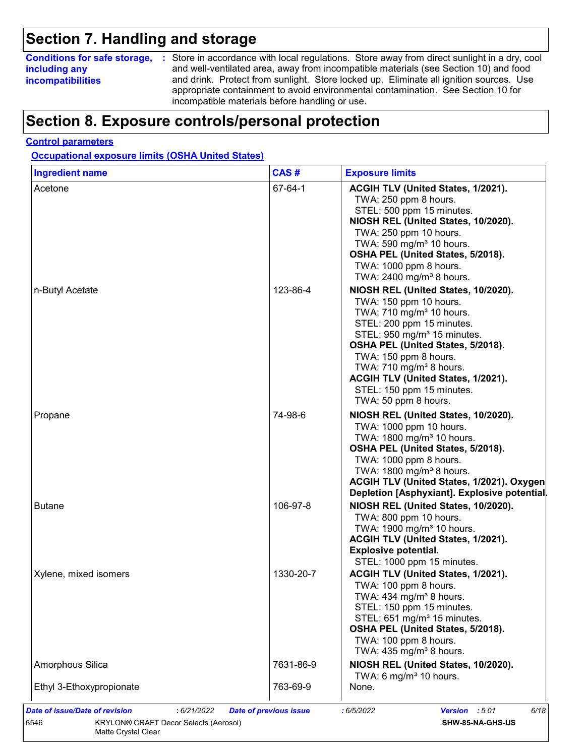### **Section 7. Handling and storage**

### **including any incompatibilities**

**Conditions for safe storage,** : Store in accordance with local regulations. Store away from direct sunlight in a dry, cool and well-ventilated area, away from incompatible materials (see Section 10) and food and drink. Protect from sunlight. Store locked up. Eliminate all ignition sources. Use appropriate containment to avoid environmental contamination. See Section 10 for incompatible materials before handling or use.

### **Section 8. Exposure controls/personal protection**

#### **Control parameters**

**Occupational exposure limits (OSHA United States)**

| <b>Ingredient name</b>   | CAS#      | <b>Exposure limits</b>                                                                                                                                                                                                                                                                                                  |
|--------------------------|-----------|-------------------------------------------------------------------------------------------------------------------------------------------------------------------------------------------------------------------------------------------------------------------------------------------------------------------------|
| Acetone                  | 67-64-1   | ACGIH TLV (United States, 1/2021).<br>TWA: 250 ppm 8 hours.<br>STEL: 500 ppm 15 minutes.<br>NIOSH REL (United States, 10/2020).<br>TWA: 250 ppm 10 hours.<br>TWA: 590 mg/m <sup>3</sup> 10 hours.<br>OSHA PEL (United States, 5/2018).<br>TWA: 1000 ppm 8 hours.<br>TWA: 2400 mg/m <sup>3</sup> 8 hours.                |
| n-Butyl Acetate          | 123-86-4  | NIOSH REL (United States, 10/2020).<br>TWA: 150 ppm 10 hours.<br>TWA: 710 mg/m <sup>3</sup> 10 hours.<br>STEL: 200 ppm 15 minutes.<br>STEL: 950 mg/m <sup>3</sup> 15 minutes.<br>OSHA PEL (United States, 5/2018).<br>TWA: 150 ppm 8 hours.<br>TWA: $710 \text{ mg/m}^3$ 8 hours.<br>ACGIH TLV (United States, 1/2021). |
|                          |           | STEL: 150 ppm 15 minutes.<br>TWA: 50 ppm 8 hours.                                                                                                                                                                                                                                                                       |
| Propane                  | 74-98-6   | NIOSH REL (United States, 10/2020).<br>TWA: 1000 ppm 10 hours.<br>TWA: 1800 mg/m <sup>3</sup> 10 hours.<br>OSHA PEL (United States, 5/2018).<br>TWA: 1000 ppm 8 hours.<br>TWA: 1800 mg/m <sup>3</sup> 8 hours.<br>ACGIH TLV (United States, 1/2021). Oxygen<br>Depletion [Asphyxiant]. Explosive potential.             |
| <b>Butane</b>            | 106-97-8  | NIOSH REL (United States, 10/2020).<br>TWA: 800 ppm 10 hours.<br>TWA: 1900 mg/m <sup>3</sup> 10 hours.<br>ACGIH TLV (United States, 1/2021).<br><b>Explosive potential.</b><br>STEL: 1000 ppm 15 minutes.                                                                                                               |
| Xylene, mixed isomers    | 1330-20-7 | ACGIH TLV (United States, 1/2021).<br>TWA: 100 ppm 8 hours.<br>TWA: $434$ mg/m <sup>3</sup> 8 hours.<br>STEL: 150 ppm 15 minutes.<br>STEL: 651 mg/m <sup>3</sup> 15 minutes.<br>OSHA PEL (United States, 5/2018).<br>TWA: 100 ppm 8 hours.<br>TWA: $435 \text{ mg/m}^3$ 8 hours.                                        |
| Amorphous Silica         | 7631-86-9 | NIOSH REL (United States, 10/2020).<br>TWA: 6 mg/m <sup>3</sup> 10 hours.                                                                                                                                                                                                                                               |
| Ethyl 3-Ethoxypropionate | 763-69-9  | None.                                                                                                                                                                                                                                                                                                                   |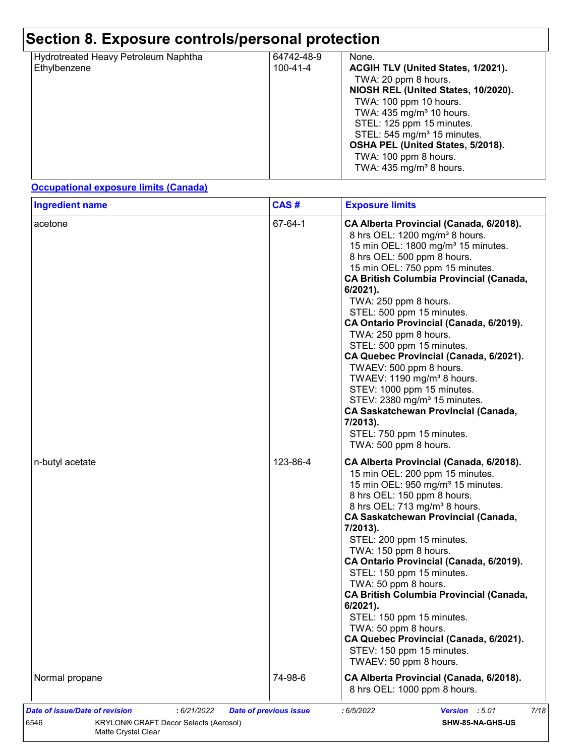| Hydrotreated Heavy Petroleum Naphtha | 64742-48-9     | None.                                   |
|--------------------------------------|----------------|-----------------------------------------|
| Ethylbenzene                         | $100 - 41 - 4$ | ACGIH TLV (United States, 1/2021).      |
|                                      |                | TWA: 20 ppm 8 hours.                    |
|                                      |                | NIOSH REL (United States, 10/2020).     |
|                                      |                | TWA: 100 ppm 10 hours.                  |
|                                      |                | TWA: $435 \text{ mg/m}^3$ 10 hours.     |
|                                      |                | STEL: 125 ppm 15 minutes.               |
|                                      |                | STEL: 545 mg/m <sup>3</sup> 15 minutes. |
|                                      |                | OSHA PEL (United States, 5/2018).       |
|                                      |                | TWA: 100 ppm 8 hours.                   |
|                                      |                | TWA: $435 \text{ mg/m}^3$ 8 hours.      |
|                                      |                |                                         |

#### **Occupational exposure limits (Canada)**

| acetone         | 67-64-1  | CA Alberta Provincial (Canada, 6/2018).<br>8 hrs OEL: 1200 mg/m <sup>3</sup> 8 hours.<br>15 min OEL: 1800 mg/m <sup>3</sup> 15 minutes.<br>8 hrs OEL: 500 ppm 8 hours.<br>15 min OEL: 750 ppm 15 minutes.<br><b>CA British Columbia Provincial (Canada,</b><br>6/2021).                                                                                                                                                                                                                                                                                                                                                                        |
|-----------------|----------|------------------------------------------------------------------------------------------------------------------------------------------------------------------------------------------------------------------------------------------------------------------------------------------------------------------------------------------------------------------------------------------------------------------------------------------------------------------------------------------------------------------------------------------------------------------------------------------------------------------------------------------------|
|                 |          | TWA: 250 ppm 8 hours.<br>STEL: 500 ppm 15 minutes.<br>CA Ontario Provincial (Canada, 6/2019).<br>TWA: 250 ppm 8 hours.<br>STEL: 500 ppm 15 minutes.<br>CA Quebec Provincial (Canada, 6/2021).<br>TWAEV: 500 ppm 8 hours.<br>TWAEV: 1190 mg/m <sup>3</sup> 8 hours.<br>STEV: 1000 ppm 15 minutes.<br>STEV: 2380 mg/m <sup>3</sup> 15 minutes.<br><b>CA Saskatchewan Provincial (Canada,</b><br>7/2013).<br>STEL: 750 ppm 15 minutes.<br>TWA: 500 ppm 8 hours.                                                                                                                                                                                   |
| n-butyl acetate | 123-86-4 | CA Alberta Provincial (Canada, 6/2018).<br>15 min OEL: 200 ppm 15 minutes.<br>15 min OEL: 950 mg/m <sup>3</sup> 15 minutes.<br>8 hrs OEL: 150 ppm 8 hours.<br>8 hrs OEL: 713 mg/m <sup>3</sup> 8 hours.<br><b>CA Saskatchewan Provincial (Canada,</b><br>7/2013).<br>STEL: 200 ppm 15 minutes.<br>TWA: 150 ppm 8 hours.<br>CA Ontario Provincial (Canada, 6/2019).<br>STEL: 150 ppm 15 minutes.<br>TWA: 50 ppm 8 hours.<br><b>CA British Columbia Provincial (Canada,</b><br>$6/2021$ ).<br>STEL: 150 ppm 15 minutes.<br>TWA: 50 ppm 8 hours.<br>CA Quebec Provincial (Canada, 6/2021).<br>STEV: 150 ppm 15 minutes.<br>TWAEV: 50 ppm 8 hours. |
| Normal propane  | 74-98-6  | CA Alberta Provincial (Canada, 6/2018).<br>8 hrs OEL: 1000 ppm 8 hours.                                                                                                                                                                                                                                                                                                                                                                                                                                                                                                                                                                        |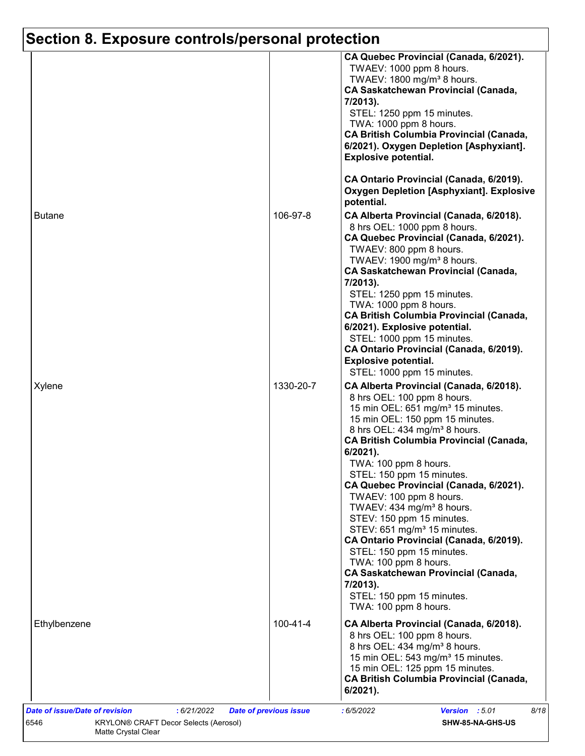|               |                | CA Quebec Provincial (Canada, 6/2021).<br>TWAEV: 1000 ppm 8 hours.<br>TWAEV: 1800 mg/m <sup>3</sup> 8 hours.<br><b>CA Saskatchewan Provincial (Canada,</b><br>7/2013).<br>STEL: 1250 ppm 15 minutes.<br>TWA: 1000 ppm 8 hours.<br><b>CA British Columbia Provincial (Canada,</b><br>6/2021). Oxygen Depletion [Asphyxiant].<br><b>Explosive potential.</b><br>CA Ontario Provincial (Canada, 6/2019).                                                                                                                                                                                                                                                                                                                              |
|---------------|----------------|------------------------------------------------------------------------------------------------------------------------------------------------------------------------------------------------------------------------------------------------------------------------------------------------------------------------------------------------------------------------------------------------------------------------------------------------------------------------------------------------------------------------------------------------------------------------------------------------------------------------------------------------------------------------------------------------------------------------------------|
|               |                | <b>Oxygen Depletion [Asphyxiant]. Explosive</b><br>potential.                                                                                                                                                                                                                                                                                                                                                                                                                                                                                                                                                                                                                                                                      |
| <b>Butane</b> | 106-97-8       | CA Alberta Provincial (Canada, 6/2018).<br>8 hrs OEL: 1000 ppm 8 hours.<br>CA Quebec Provincial (Canada, 6/2021).<br>TWAEV: 800 ppm 8 hours.<br>TWAEV: 1900 mg/m <sup>3</sup> 8 hours.<br><b>CA Saskatchewan Provincial (Canada,</b><br>7/2013).<br>STEL: 1250 ppm 15 minutes.<br>TWA: 1000 ppm 8 hours.<br><b>CA British Columbia Provincial (Canada,</b><br>6/2021). Explosive potential.<br>STEL: 1000 ppm 15 minutes.<br>CA Ontario Provincial (Canada, 6/2019).<br><b>Explosive potential.</b><br>STEL: 1000 ppm 15 minutes.                                                                                                                                                                                                  |
| Xylene        | 1330-20-7      | CA Alberta Provincial (Canada, 6/2018).<br>8 hrs OEL: 100 ppm 8 hours.<br>15 min OEL: 651 mg/m <sup>3</sup> 15 minutes.<br>15 min OEL: 150 ppm 15 minutes.<br>8 hrs OEL: 434 mg/m <sup>3</sup> 8 hours.<br><b>CA British Columbia Provincial (Canada,</b><br>6/2021).<br>TWA: 100 ppm 8 hours.<br>STEL: 150 ppm 15 minutes.<br>CA Quebec Provincial (Canada, 6/2021).<br>TWAEV: 100 ppm 8 hours.<br>TWAEV: 434 mg/m <sup>3</sup> 8 hours.<br>STEV: 150 ppm 15 minutes.<br>STEV: 651 mg/m <sup>3</sup> 15 minutes.<br>CA Ontario Provincial (Canada, 6/2019).<br>STEL: 150 ppm 15 minutes.<br>TWA: 100 ppm 8 hours.<br><b>CA Saskatchewan Provincial (Canada,</b><br>7/2013).<br>STEL: 150 ppm 15 minutes.<br>TWA: 100 ppm 8 hours. |
| Ethylbenzene  | $100 - 41 - 4$ | CA Alberta Provincial (Canada, 6/2018).<br>8 hrs OEL: 100 ppm 8 hours.<br>8 hrs OEL: 434 mg/m <sup>3</sup> 8 hours.<br>15 min OEL: 543 mg/m <sup>3</sup> 15 minutes.<br>15 min OEL: 125 ppm 15 minutes.<br><b>CA British Columbia Provincial (Canada,</b><br>$6/2021$ ).                                                                                                                                                                                                                                                                                                                                                                                                                                                           |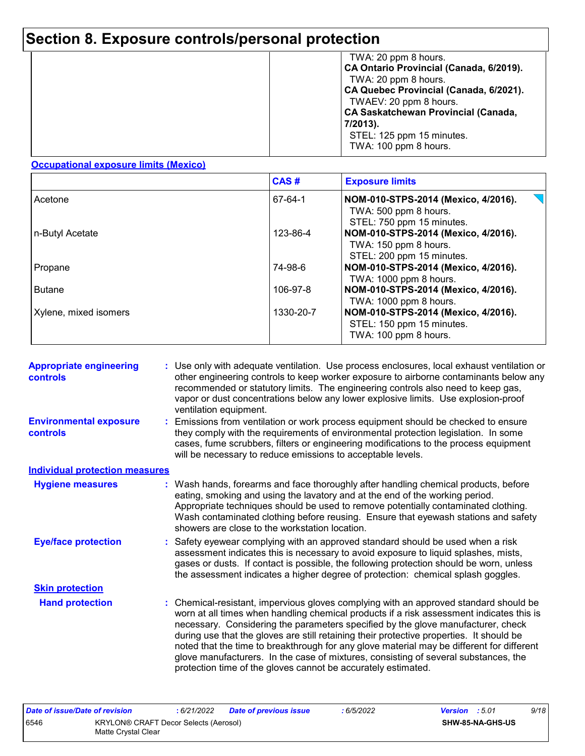|  | TWA: 20 ppm 8 hours.<br>CA Ontario Provincial (Canada, 6/2019).<br>TWA: 20 ppm 8 hours.<br>CA Quebec Provincial (Canada, 6/2021).<br>TWAEV: 20 ppm 8 hours.<br><b>CA Saskatchewan Provincial (Canada,</b><br>7/2013).<br>STEL: 125 ppm 15 minutes.<br>TWA: 100 ppm 8 hours. |
|--|-----------------------------------------------------------------------------------------------------------------------------------------------------------------------------------------------------------------------------------------------------------------------------|
|--|-----------------------------------------------------------------------------------------------------------------------------------------------------------------------------------------------------------------------------------------------------------------------------|

#### **Occupational exposure limits (Mexico)**

|                       | CAS#      | <b>Exposure limits</b>                                                                                                |
|-----------------------|-----------|-----------------------------------------------------------------------------------------------------------------------|
| Acetone               | 67-64-1   | $\overline{\phantom{a}}$<br>NOM-010-STPS-2014 (Mexico, 4/2016).<br>TWA: 500 ppm 8 hours.<br>STEL: 750 ppm 15 minutes. |
| n-Butyl Acetate       | 123-86-4  | NOM-010-STPS-2014 (Mexico, 4/2016).<br>TWA: 150 ppm 8 hours.<br>STEL: 200 ppm 15 minutes.                             |
| Propane               | 74-98-6   | NOM-010-STPS-2014 (Mexico, 4/2016).<br>TWA: 1000 ppm 8 hours.                                                         |
| <b>Butane</b>         | 106-97-8  | NOM-010-STPS-2014 (Mexico, 4/2016).<br>TWA: 1000 ppm 8 hours.                                                         |
| Xylene, mixed isomers | 1330-20-7 | NOM-010-STPS-2014 (Mexico, 4/2016).<br>STEL: 150 ppm 15 minutes.<br>TWA: 100 ppm 8 hours.                             |

| <b>Appropriate engineering</b><br><b>controls</b> | : Use only with adequate ventilation. Use process enclosures, local exhaust ventilation or<br>other engineering controls to keep worker exposure to airborne contaminants below any<br>recommended or statutory limits. The engineering controls also need to keep gas,<br>vapor or dust concentrations below any lower explosive limits. Use explosion-proof<br>ventilation equipment.                                                                                                                                                                                                                                |
|---------------------------------------------------|------------------------------------------------------------------------------------------------------------------------------------------------------------------------------------------------------------------------------------------------------------------------------------------------------------------------------------------------------------------------------------------------------------------------------------------------------------------------------------------------------------------------------------------------------------------------------------------------------------------------|
| <b>Environmental exposure</b><br><b>controls</b>  | Emissions from ventilation or work process equipment should be checked to ensure<br>they comply with the requirements of environmental protection legislation. In some<br>cases, fume scrubbers, filters or engineering modifications to the process equipment<br>will be necessary to reduce emissions to acceptable levels.                                                                                                                                                                                                                                                                                          |
| <b>Individual protection measures</b>             |                                                                                                                                                                                                                                                                                                                                                                                                                                                                                                                                                                                                                        |
| <b>Hygiene measures</b>                           | : Wash hands, forearms and face thoroughly after handling chemical products, before<br>eating, smoking and using the lavatory and at the end of the working period.<br>Appropriate techniques should be used to remove potentially contaminated clothing.<br>Wash contaminated clothing before reusing. Ensure that eyewash stations and safety<br>showers are close to the workstation location.                                                                                                                                                                                                                      |
| <b>Eye/face protection</b>                        | : Safety eyewear complying with an approved standard should be used when a risk<br>assessment indicates this is necessary to avoid exposure to liquid splashes, mists,<br>gases or dusts. If contact is possible, the following protection should be worn, unless<br>the assessment indicates a higher degree of protection: chemical splash goggles.                                                                                                                                                                                                                                                                  |
| <b>Skin protection</b>                            |                                                                                                                                                                                                                                                                                                                                                                                                                                                                                                                                                                                                                        |
| <b>Hand protection</b>                            | : Chemical-resistant, impervious gloves complying with an approved standard should be<br>worn at all times when handling chemical products if a risk assessment indicates this is<br>necessary. Considering the parameters specified by the glove manufacturer, check<br>during use that the gloves are still retaining their protective properties. It should be<br>noted that the time to breakthrough for any glove material may be different for different<br>glove manufacturers. In the case of mixtures, consisting of several substances, the<br>protection time of the gloves cannot be accurately estimated. |

| Date of issue/Date of revision |                                                              | : 6/21/2022 | <b>Date of previous issue</b> | 6/5/2022 | <b>Version</b> : 5.01 |                         | 9/18 |
|--------------------------------|--------------------------------------------------------------|-------------|-------------------------------|----------|-----------------------|-------------------------|------|
| 6546                           | KRYLON® CRAFT Decor Selects (Aerosol)<br>Matte Crvstal Clear |             |                               |          |                       | <b>SHW-85-NA-GHS-US</b> |      |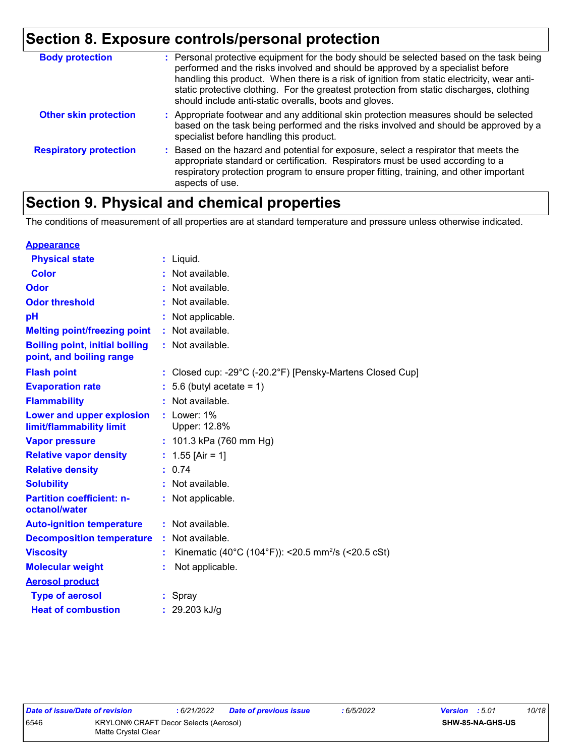| <b>Body protection</b>        | : Personal protective equipment for the body should be selected based on the task being<br>performed and the risks involved and should be approved by a specialist before<br>handling this product. When there is a risk of ignition from static electricity, wear anti-<br>static protective clothing. For the greatest protection from static discharges, clothing<br>should include anti-static overalls, boots and gloves. |
|-------------------------------|--------------------------------------------------------------------------------------------------------------------------------------------------------------------------------------------------------------------------------------------------------------------------------------------------------------------------------------------------------------------------------------------------------------------------------|
| <b>Other skin protection</b>  | : Appropriate footwear and any additional skin protection measures should be selected<br>based on the task being performed and the risks involved and should be approved by a<br>specialist before handling this product.                                                                                                                                                                                                      |
| <b>Respiratory protection</b> | : Based on the hazard and potential for exposure, select a respirator that meets the<br>appropriate standard or certification. Respirators must be used according to a<br>respiratory protection program to ensure proper fitting, training, and other important<br>aspects of use.                                                                                                                                            |

### **Section 9. Physical and chemical properties**

The conditions of measurement of all properties are at standard temperature and pressure unless otherwise indicated.

| <b>Appearance</b>                                                 |    |                                                                                 |
|-------------------------------------------------------------------|----|---------------------------------------------------------------------------------|
| <b>Physical state</b>                                             |    | $:$ Liquid.                                                                     |
| <b>Color</b>                                                      |    | Not available.                                                                  |
| Odor                                                              |    | Not available.                                                                  |
| <b>Odor threshold</b>                                             |    | Not available.                                                                  |
| pH                                                                |    | Not applicable.                                                                 |
| <b>Melting point/freezing point</b>                               |    | Not available.                                                                  |
| <b>Boiling point, initial boiling</b><br>point, and boiling range |    | : Not available.                                                                |
| <b>Flash point</b>                                                |    | : Closed cup: -29 $^{\circ}$ C (-20.2 $^{\circ}$ F) [Pensky-Martens Closed Cup] |
| <b>Evaporation rate</b>                                           |    | 5.6 (butyl acetate = $1$ )                                                      |
| <b>Flammability</b>                                               |    | Not available.                                                                  |
| Lower and upper explosion<br>limit/flammability limit             |    | $:$ Lower: $1\%$<br>Upper: 12.8%                                                |
| <b>Vapor pressure</b>                                             |    | : 101.3 kPa (760 mm Hg)                                                         |
| <b>Relative vapor density</b>                                     |    | : $1.55$ [Air = 1]                                                              |
| <b>Relative density</b>                                           |    | 0.74                                                                            |
| <b>Solubility</b>                                                 |    | Not available.                                                                  |
| <b>Partition coefficient: n-</b><br>octanol/water                 |    | : Not applicable.                                                               |
| <b>Auto-ignition temperature</b>                                  |    | : Not available.                                                                |
| <b>Decomposition temperature</b>                                  | ÷. | Not available.                                                                  |
| <b>Viscosity</b>                                                  |    | Kinematic (40°C (104°F)): <20.5 mm <sup>2</sup> /s (<20.5 cSt)                  |
| <b>Molecular weight</b>                                           |    | Not applicable.                                                                 |
| <b>Aerosol product</b>                                            |    |                                                                                 |
| <b>Type of aerosol</b>                                            |    | : Spray                                                                         |
| <b>Heat of combustion</b>                                         |    | 29.203 kJ/g                                                                     |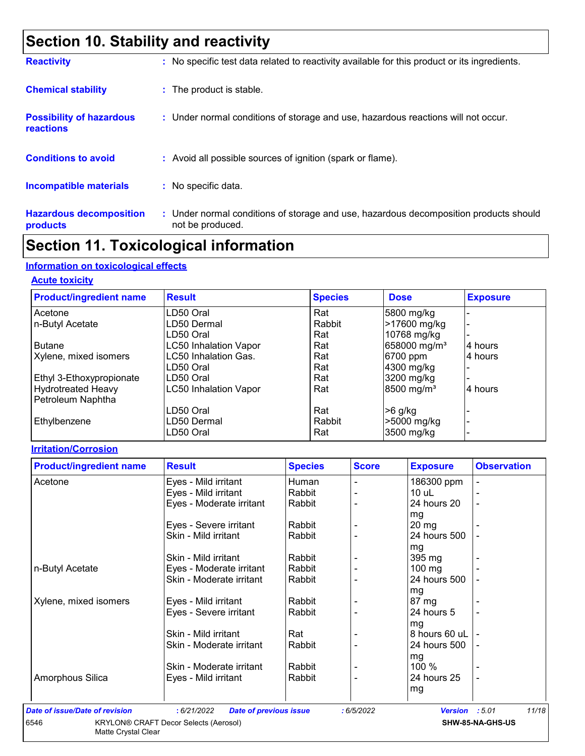## **Section 10. Stability and reactivity**

| <b>Reactivity</b>                            | : No specific test data related to reactivity available for this product or its ingredients.              |
|----------------------------------------------|-----------------------------------------------------------------------------------------------------------|
| <b>Chemical stability</b>                    | : The product is stable.                                                                                  |
| <b>Possibility of hazardous</b><br>reactions | : Under normal conditions of storage and use, hazardous reactions will not occur.                         |
| <b>Conditions to avoid</b>                   | : Avoid all possible sources of ignition (spark or flame).                                                |
| <b>Incompatible materials</b>                | : No specific data.                                                                                       |
| <b>Hazardous decomposition</b><br>products   | : Under normal conditions of storage and use, hazardous decomposition products should<br>not be produced. |

### **Section 11. Toxicological information**

#### **Information on toxicological effects**

#### **Acute toxicity**

| <b>Product/ingredient name</b> | <b>Result</b>                | <b>Species</b> | <b>Dose</b>              | <b>Exposure</b> |
|--------------------------------|------------------------------|----------------|--------------------------|-----------------|
| Acetone                        | LD50 Oral                    | Rat            | 5800 mg/kg               |                 |
| n-Butyl Acetate                | LD50 Dermal                  | Rabbit         | >17600 mg/kg             |                 |
|                                | LD50 Oral                    | Rat            | 10768 mg/kg              |                 |
| <b>Butane</b>                  | <b>LC50 Inhalation Vapor</b> | Rat            | 658000 mg/m <sup>3</sup> | 4 hours         |
| Xylene, mixed isomers          | LC50 Inhalation Gas.         | Rat            | 6700 ppm                 | 4 hours         |
|                                | LD50 Oral                    | Rat            | 4300 mg/kg               |                 |
| Ethyl 3-Ethoxypropionate       | LD50 Oral                    | Rat            | 3200 mg/kg               |                 |
| <b>Hydrotreated Heavy</b>      | <b>LC50 Inhalation Vapor</b> | Rat            | 8500 mg/m <sup>3</sup>   | 4 hours         |
| Petroleum Naphtha              |                              |                |                          |                 |
|                                | LD50 Oral                    | Rat            | $>6$ g/kg                |                 |
| Ethylbenzene                   | LD50 Dermal                  | Rabbit         | >5000 mg/kg              |                 |
|                                | LD50 Oral                    | Rat            | 3500 mg/kg               |                 |

#### **Irritation/Corrosion**

| <b>Product/ingredient name</b>        | <b>Result</b>                                | <b>Species</b> | <b>Score</b> | <b>Exposure</b> | <b>Observation</b>      |
|---------------------------------------|----------------------------------------------|----------------|--------------|-----------------|-------------------------|
| Acetone                               | Eyes - Mild irritant                         | Human          |              | 186300 ppm      |                         |
|                                       | Eyes - Mild irritant                         | Rabbit         |              | $10$ uL         |                         |
|                                       | Eyes - Moderate irritant                     | Rabbit         |              | 24 hours 20     |                         |
|                                       |                                              |                |              | mg              |                         |
|                                       | Eyes - Severe irritant                       | Rabbit         |              | $20 \, mg$      |                         |
|                                       | Skin - Mild irritant                         | Rabbit         |              | 24 hours 500    |                         |
|                                       |                                              |                |              | mg              |                         |
|                                       | Skin - Mild irritant                         | Rabbit         |              | 395 mg          |                         |
| n-Butyl Acetate                       | Eyes - Moderate irritant                     | Rabbit         |              | $100$ mg        |                         |
|                                       | Skin - Moderate irritant                     | Rabbit         |              | 24 hours 500    |                         |
|                                       |                                              |                |              | mg              |                         |
| Xylene, mixed isomers                 | Eyes - Mild irritant                         | Rabbit         |              | 87 mg           |                         |
|                                       | Eyes - Severe irritant                       | Rabbit         |              | 24 hours 5      |                         |
|                                       |                                              |                |              | mg              |                         |
|                                       | Skin - Mild irritant                         | Rat            |              | 8 hours 60 uL   |                         |
|                                       | Skin - Moderate irritant                     | Rabbit         |              | 24 hours 500    |                         |
|                                       |                                              |                |              | mg              |                         |
|                                       | Skin - Moderate irritant                     | Rabbit         |              | 100 %           |                         |
| Amorphous Silica                      | Eyes - Mild irritant                         | Rabbit         |              | 24 hours 25     | $\blacksquare$          |
|                                       |                                              |                |              | mg              |                         |
|                                       |                                              |                |              |                 |                         |
| <b>Date of issue/Date of revision</b> | : 6/21/2022<br><b>Date of previous issue</b> |                | :6/5/2022    | Version : 5.01  | 11/18                   |
| <b>GEAG</b>                           | KBVLONA CRAFT Deser Selects (Across)         |                |              |                 | <b>CUM OF MA CUC HC</b> |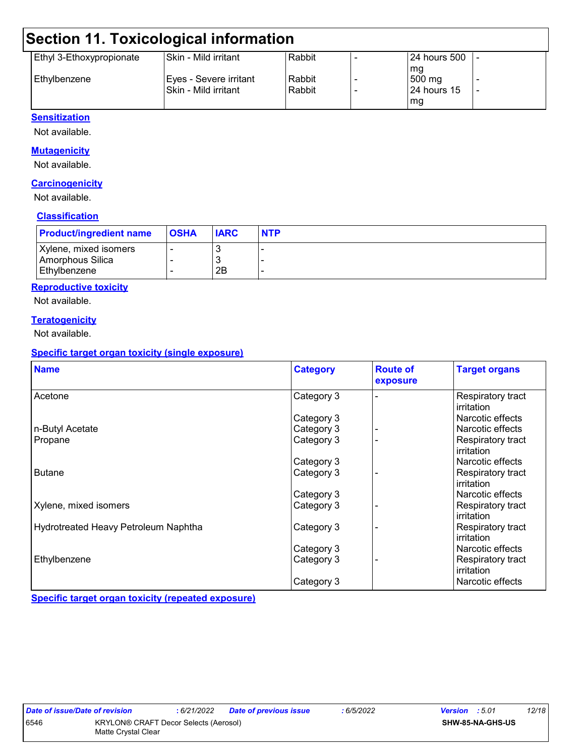### **Section 11. Toxicological information**

| Ethyl 3-Ethoxypropionate | Skin - Mild irritant    | Rabbit | l 24 hours 500   l |  |
|--------------------------|-------------------------|--------|--------------------|--|
|                          |                         |        | mq                 |  |
| l Ethvlbenzene           | Eyes - Severe irritant_ | Rabbit | 500 mg             |  |
|                          | l Skin - Mild irritant  | Rabbit | I24 hours 15       |  |
|                          |                         |        | mg                 |  |

#### **Sensitization**

Not available.

#### **Mutagenicity**

Not available.

#### **Carcinogenicity**

Not available.

#### **Classification**

| <b>Product/ingredient name</b>            | <b>OSHA</b> | <b>IARC</b> | <b>NTP</b> |
|-------------------------------------------|-------------|-------------|------------|
| Xylene, mixed isomers<br>Amorphous Silica |             |             |            |
| Ethylbenzene                              |             | 2B          |            |

#### **Reproductive toxicity**

Not available.

#### **Teratogenicity**

Not available.

#### **Specific target organ toxicity (single exposure)**

| <b>Name</b>                                 | <b>Category</b> | <b>Route of</b><br>exposure | <b>Target organs</b>            |
|---------------------------------------------|-----------------|-----------------------------|---------------------------------|
| Acetone                                     | Category 3      |                             | Respiratory tract<br>irritation |
|                                             | Category 3      |                             | Narcotic effects                |
| n-Butyl Acetate                             | Category 3      |                             | Narcotic effects                |
| Propane                                     | Category 3      |                             | Respiratory tract<br>irritation |
|                                             | Category 3      |                             | Narcotic effects                |
| <b>Butane</b>                               | Category 3      |                             | Respiratory tract<br>irritation |
|                                             | Category 3      |                             | Narcotic effects                |
| Xylene, mixed isomers                       | Category 3      |                             | Respiratory tract<br>irritation |
| <b>Hydrotreated Heavy Petroleum Naphtha</b> | Category 3      |                             | Respiratory tract<br>irritation |
|                                             | Category 3      |                             | Narcotic effects                |
| Ethylbenzene                                | Category 3      |                             | Respiratory tract<br>irritation |
|                                             | Category 3      |                             | Narcotic effects                |

**Specific target organ toxicity (repeated exposure)**

|      | Date of issue/Date of revision |
|------|--------------------------------|
| 6546 | <b>KRYLON® CF</b>              |
|      | Matte Crystal (                |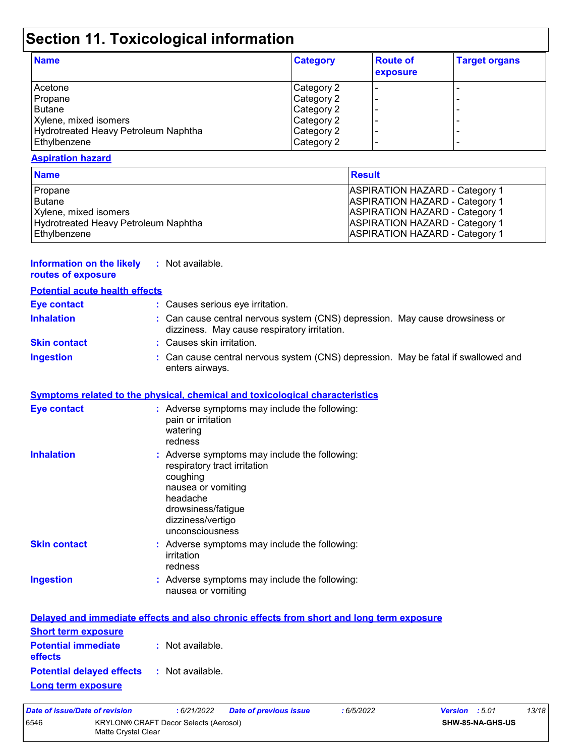# **Section 11. Toxicological information**

| <b>Name</b>                          | <b>Category</b> | <b>Route of</b><br>exposure | <b>Target organs</b> |
|--------------------------------------|-----------------|-----------------------------|----------------------|
| Acetone                              | Category 2      |                             |                      |
| Propane                              | Category 2      |                             |                      |
| Butane                               | Category 2      |                             |                      |
| Xylene, mixed isomers                | Category 2      |                             |                      |
| Hydrotreated Heavy Petroleum Naphtha | Category 2      |                             |                      |
| Ethylbenzene                         | Category 2      |                             | -                    |

#### **Aspiration hazard**

| <b>Name</b>                          | <b>Result</b>                         |
|--------------------------------------|---------------------------------------|
| Propane                              | <b>ASPIRATION HAZARD - Category 1</b> |
| l Butane                             | <b>ASPIRATION HAZARD - Category 1</b> |
| Xylene, mixed isomers                | <b>ASPIRATION HAZARD - Category 1</b> |
| Hydrotreated Heavy Petroleum Naphtha | <b>ASPIRATION HAZARD - Category 1</b> |
| Ethylbenzene                         | <b>ASPIRATION HAZARD - Category 1</b> |

| <b>Information on the likely</b><br>routes of exposure | : Not available.                                                                                                                                                                          |
|--------------------------------------------------------|-------------------------------------------------------------------------------------------------------------------------------------------------------------------------------------------|
| <b>Potential acute health effects</b>                  |                                                                                                                                                                                           |
| <b>Eye contact</b>                                     | : Causes serious eye irritation.                                                                                                                                                          |
| <b>Inhalation</b>                                      | : Can cause central nervous system (CNS) depression. May cause drowsiness or<br>dizziness. May cause respiratory irritation.                                                              |
| <b>Skin contact</b>                                    | : Causes skin irritation.                                                                                                                                                                 |
| <b>Ingestion</b>                                       | : Can cause central nervous system (CNS) depression. May be fatal if swallowed and<br>enters airways.                                                                                     |
|                                                        | <b>Symptoms related to the physical, chemical and toxicological characteristics</b>                                                                                                       |
| Eye contact                                            | : Adverse symptoms may include the following:<br>pain or irritation<br>watering<br>redness                                                                                                |
| <b>Inhalation</b>                                      | : Adverse symptoms may include the following:<br>respiratory tract irritation<br>coughing<br>nausea or vomiting<br>headache<br>drowsiness/fatigue<br>dizziness/vertigo<br>unconsciousness |
| <b>Skin contact</b>                                    | : Adverse symptoms may include the following:                                                                                                                                             |

|           | irritation<br>redness                                               |
|-----------|---------------------------------------------------------------------|
| Ingestion | : Adverse symptoms may include the following:<br>nausea or vomiting |

|                                                               | Delayed and immediate effects and also chronic effects from short and long term exposure |
|---------------------------------------------------------------|------------------------------------------------------------------------------------------|
| <b>Short term exposure</b>                                    |                                                                                          |
| <b>Potential immediate : Not available.</b><br><b>effects</b> |                                                                                          |
| <b>Potential delayed effects : Not available.</b>             |                                                                                          |
| <b>Long term exposure</b>                                     |                                                                                          |

| Date of issue/Date of revision |                                                                     | : 6/21/2022 | <b>Date of previous issue</b> | : 6/5/2022       | <b>Version</b> : 5.01 | 13/18 |
|--------------------------------|---------------------------------------------------------------------|-------------|-------------------------------|------------------|-----------------------|-------|
| 6546                           | <b>KRYLON® CRAFT Decor Selects (Aerosol)</b><br>Matte Crystal Clear |             |                               | SHW-85-NA-GHS-US |                       |       |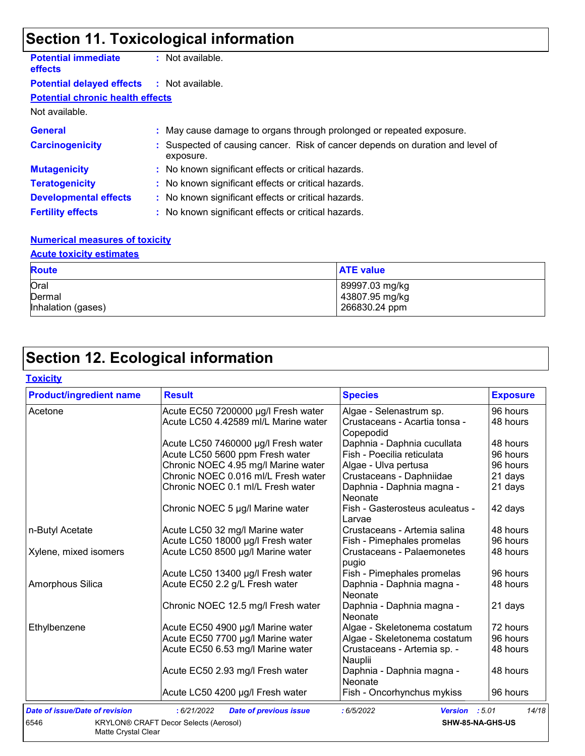# **Section 11. Toxicological information**

| <b>Potential immediate</b><br><b>effects</b>      | : Not available.                                                                            |
|---------------------------------------------------|---------------------------------------------------------------------------------------------|
| <b>Potential delayed effects : Not available.</b> |                                                                                             |
| <b>Potential chronic health effects</b>           |                                                                                             |
| Not available.                                    |                                                                                             |
| <b>General</b>                                    | : May cause damage to organs through prolonged or repeated exposure.                        |
| <b>Carcinogenicity</b>                            | : Suspected of causing cancer. Risk of cancer depends on duration and level of<br>exposure. |
| <b>Mutagenicity</b>                               | : No known significant effects or critical hazards.                                         |
| <b>Teratogenicity</b>                             | : No known significant effects or critical hazards.                                         |
| <b>Developmental effects</b>                      | : No known significant effects or critical hazards.                                         |
| <b>Fertility effects</b>                          | : No known significant effects or critical hazards.                                         |

#### **Numerical measures of toxicity**

#### **Acute toxicity estimates**

| <b>Route</b>       | <b>ATE value</b> |
|--------------------|------------------|
| Oral               | 89997.03 mg/kg   |
| Dermal             | 43807.95 mg/kg   |
| Inhalation (gases) | 266830.24 ppm    |

## **Section 12. Ecological information**

| Toxicitv |
|----------|
|----------|

| <b>Product/ingredient name</b>        | <b>Result</b>                                | <b>Species</b>                             | <b>Exposure</b> |
|---------------------------------------|----------------------------------------------|--------------------------------------------|-----------------|
| Acetone                               | Acute EC50 7200000 µg/l Fresh water          | Algae - Selenastrum sp.                    | 96 hours        |
|                                       | Acute LC50 4.42589 ml/L Marine water         | Crustaceans - Acartia tonsa -<br>Copepodid | 48 hours        |
|                                       | Acute LC50 7460000 µg/l Fresh water          | Daphnia - Daphnia cucullata                | 48 hours        |
|                                       | Acute LC50 5600 ppm Fresh water              | Fish - Poecilia reticulata                 | 96 hours        |
|                                       | Chronic NOEC 4.95 mg/l Marine water          | Algae - Ulva pertusa                       | 96 hours        |
|                                       | Chronic NOEC 0.016 ml/L Fresh water          | Crustaceans - Daphniidae                   | 21 days         |
|                                       | Chronic NOEC 0.1 ml/L Fresh water            | Daphnia - Daphnia magna -<br>Neonate       | 21 days         |
|                                       | Chronic NOEC 5 µg/l Marine water             | Fish - Gasterosteus aculeatus -<br>Larvae  | 42 days         |
| n-Butyl Acetate                       | Acute LC50 32 mg/l Marine water              | Crustaceans - Artemia salina               | 48 hours        |
|                                       | Acute LC50 18000 µg/l Fresh water            | Fish - Pimephales promelas                 | 96 hours        |
| Xylene, mixed isomers                 | Acute LC50 8500 µg/l Marine water            | Crustaceans - Palaemonetes<br>pugio        | 48 hours        |
|                                       | Acute LC50 13400 µg/l Fresh water            | Fish - Pimephales promelas                 | 96 hours        |
| Amorphous Silica                      | Acute EC50 2.2 g/L Fresh water               | Daphnia - Daphnia magna -<br>Neonate       | 48 hours        |
|                                       | Chronic NOEC 12.5 mg/l Fresh water           | Daphnia - Daphnia magna -<br>Neonate       | 21 days         |
| Ethylbenzene                          | Acute EC50 4900 µg/l Marine water            | Algae - Skeletonema costatum               | 72 hours        |
|                                       | Acute EC50 7700 µg/l Marine water            | Algae - Skeletonema costatum               | 96 hours        |
|                                       | Acute EC50 6.53 mg/l Marine water            | Crustaceans - Artemia sp. -<br>Nauplii     | 48 hours        |
|                                       | Acute EC50 2.93 mg/l Fresh water             | Daphnia - Daphnia magna -<br>Neonate       | 48 hours        |
|                                       | Acute LC50 4200 µg/l Fresh water             | Fish - Oncorhynchus mykiss                 | 96 hours        |
| <b>Date of issue/Date of revision</b> | : 6/21/2022<br><b>Date of previous issue</b> | : 6/5/2022<br><b>Version</b>               | 14/18<br>:5.01  |
| 6546                                  | <b>KRYLON® CRAFT Decor Selects (Aerosol)</b> | SHW-85-NA-GHS-US                           |                 |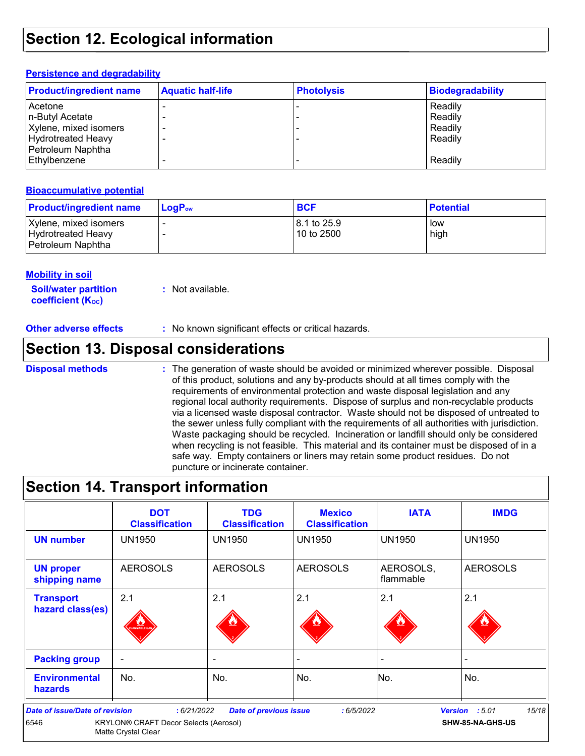### **Section 12. Ecological information**

#### **Persistence and degradability**

| <b>Product/ingredient name</b>                                                                                 | <b>Aquatic half-life</b> | <b>Photolysis</b> | <b>Biodegradability</b>                             |
|----------------------------------------------------------------------------------------------------------------|--------------------------|-------------------|-----------------------------------------------------|
| Acetone<br>n-Butyl Acetate<br>Xylene, mixed isomers<br>Hydrotreated Heavy<br>Petroleum Naphtha<br>Ethylbenzene |                          |                   | Readily<br>Readily<br>Readily<br>Readily<br>Readily |

#### **Bioaccumulative potential**

| <b>Product/ingredient name</b>                                   | $\mathsf{LogP}_\mathsf{ow}$ | <b>BCF</b>                | <b>Potential</b> |
|------------------------------------------------------------------|-----------------------------|---------------------------|------------------|
| Xylene, mixed isomers<br>Hydrotreated Heavy<br>Petroleum Naphtha |                             | 8.1 to 25.9<br>10 to 2500 | low<br>high      |

#### **Mobility in soil**

**Soil/water partition coefficient (Koc) :** Not available.

**Other adverse effects** : No known significant effects or critical hazards.

### **Section 13. Disposal considerations**

#### **Disposal methods :**

The generation of waste should be avoided or minimized wherever possible. Disposal of this product, solutions and any by-products should at all times comply with the requirements of environmental protection and waste disposal legislation and any regional local authority requirements. Dispose of surplus and non-recyclable products via a licensed waste disposal contractor. Waste should not be disposed of untreated to the sewer unless fully compliant with the requirements of all authorities with jurisdiction. Waste packaging should be recycled. Incineration or landfill should only be considered when recycling is not feasible. This material and its container must be disposed of in a safe way. Empty containers or liners may retain some product residues. Do not puncture or incinerate container.

### **Section 14. Transport information**

|                                               | <b>DOT</b><br><b>Classification</b>                                        | <b>TDG</b><br><b>Classification</b> | <b>Mexico</b><br><b>Classification</b> | <b>IATA</b>            | <b>IMDG</b>                                 |
|-----------------------------------------------|----------------------------------------------------------------------------|-------------------------------------|----------------------------------------|------------------------|---------------------------------------------|
| <b>UN number</b>                              | <b>UN1950</b>                                                              | <b>UN1950</b>                       | <b>UN1950</b>                          | <b>UN1950</b>          | <b>UN1950</b>                               |
| <b>UN proper</b><br>shipping name             | <b>AEROSOLS</b>                                                            | <b>AEROSOLS</b>                     | <b>AEROSOLS</b>                        | AEROSOLS,<br>flammable | <b>AEROSOLS</b>                             |
| <b>Transport</b><br>hazard class(es)          | 2.1<br>AMMABLE GA                                                          | 2.1                                 | 2.1                                    | 2.1                    | 2.1                                         |
| <b>Packing group</b>                          | ۰                                                                          | $\overline{\phantom{0}}$            |                                        |                        |                                             |
| <b>Environmental</b><br><b>hazards</b>        | No.                                                                        | No.                                 | No.                                    | No.                    | No.                                         |
| <b>Date of issue/Date of revision</b><br>6546 | :6/21/2022<br>KRYLON® CRAFT Decor Selects (Aerosol)<br>Matte Crystal Clear | <b>Date of previous issue</b>       | :6/5/2022                              |                        | 15/18<br>Version : 5.01<br>SHW-85-NA-GHS-US |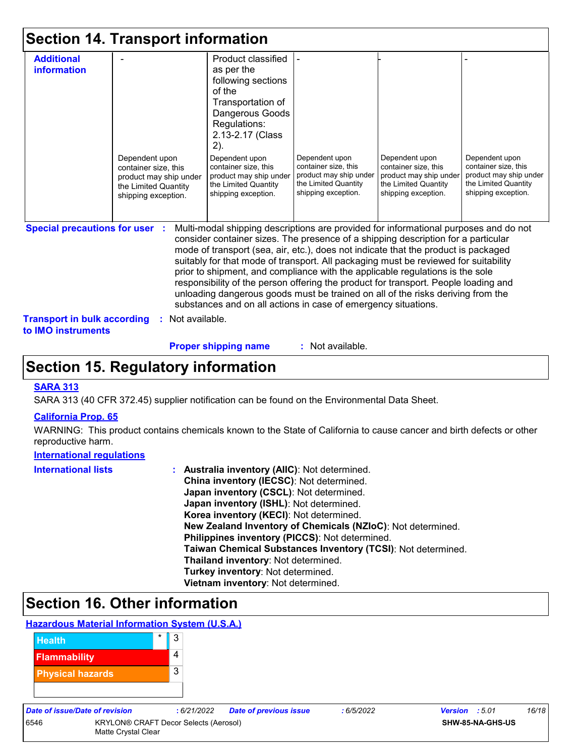|  |  |  | <b>Section 14. Transport information</b> |  |
|--|--|--|------------------------------------------|--|
|--|--|--|------------------------------------------|--|

| <b>Additional</b>                     |                                                | Product classified                                                                                                                                                                                                                                                                                                                                                                                                                                                                                                                                                                                                |                                                                |                                                |                                                |
|---------------------------------------|------------------------------------------------|-------------------------------------------------------------------------------------------------------------------------------------------------------------------------------------------------------------------------------------------------------------------------------------------------------------------------------------------------------------------------------------------------------------------------------------------------------------------------------------------------------------------------------------------------------------------------------------------------------------------|----------------------------------------------------------------|------------------------------------------------|------------------------------------------------|
| <b>information</b>                    |                                                | as per the                                                                                                                                                                                                                                                                                                                                                                                                                                                                                                                                                                                                        |                                                                |                                                |                                                |
|                                       |                                                | following sections                                                                                                                                                                                                                                                                                                                                                                                                                                                                                                                                                                                                |                                                                |                                                |                                                |
|                                       |                                                | of the                                                                                                                                                                                                                                                                                                                                                                                                                                                                                                                                                                                                            |                                                                |                                                |                                                |
|                                       |                                                | Transportation of                                                                                                                                                                                                                                                                                                                                                                                                                                                                                                                                                                                                 |                                                                |                                                |                                                |
|                                       |                                                | Dangerous Goods                                                                                                                                                                                                                                                                                                                                                                                                                                                                                                                                                                                                   |                                                                |                                                |                                                |
|                                       |                                                | Regulations:                                                                                                                                                                                                                                                                                                                                                                                                                                                                                                                                                                                                      |                                                                |                                                |                                                |
|                                       |                                                | 2.13-2.17 (Class                                                                                                                                                                                                                                                                                                                                                                                                                                                                                                                                                                                                  |                                                                |                                                |                                                |
|                                       |                                                | 2).                                                                                                                                                                                                                                                                                                                                                                                                                                                                                                                                                                                                               |                                                                |                                                |                                                |
|                                       | Dependent upon                                 | Dependent upon                                                                                                                                                                                                                                                                                                                                                                                                                                                                                                                                                                                                    | Dependent upon                                                 | Dependent upon                                 | Dependent upon                                 |
|                                       | container size, this                           | container size, this                                                                                                                                                                                                                                                                                                                                                                                                                                                                                                                                                                                              | container size, this<br>product may ship under                 | container size, this<br>product may ship under | container size, this<br>product may ship under |
|                                       | product may ship under<br>the Limited Quantity | product may ship under<br>the Limited Quantity                                                                                                                                                                                                                                                                                                                                                                                                                                                                                                                                                                    | the Limited Quantity                                           | the Limited Quantity                           | the Limited Quantity                           |
|                                       | shipping exception.                            | shipping exception.                                                                                                                                                                                                                                                                                                                                                                                                                                                                                                                                                                                               | shipping exception.                                            | shipping exception.                            | shipping exception.                            |
|                                       |                                                |                                                                                                                                                                                                                                                                                                                                                                                                                                                                                                                                                                                                                   |                                                                |                                                |                                                |
|                                       |                                                |                                                                                                                                                                                                                                                                                                                                                                                                                                                                                                                                                                                                                   |                                                                |                                                |                                                |
| <b>Special precautions for user :</b> |                                                | Multi-modal shipping descriptions are provided for informational purposes and do not<br>consider container sizes. The presence of a shipping description for a particular<br>mode of transport (sea, air, etc.), does not indicate that the product is packaged<br>suitably for that mode of transport. All packaging must be reviewed for suitability<br>prior to shipment, and compliance with the applicable regulations is the sole<br>responsibility of the person offering the product for transport. People loading and<br>unloading dangerous goods must be trained on all of the risks deriving from the | substances and on all actions in case of emergency situations. |                                                |                                                |

**Proper shipping name :**

: Not available.

### **Section 15. Regulatory information**

#### **SARA 313**

SARA 313 (40 CFR 372.45) supplier notification can be found on the Environmental Data Sheet.

#### **California Prop. 65**

WARNING: This product contains chemicals known to the State of California to cause cancer and birth defects or other reproductive harm.

#### **International regulations**

| <b>International lists</b> | <b>Australia inventory (AIIC): Not determined.</b>           |
|----------------------------|--------------------------------------------------------------|
|                            | China inventory (IECSC): Not determined.                     |
|                            | Japan inventory (CSCL): Not determined.                      |
|                            | Japan inventory (ISHL): Not determined.                      |
|                            | Korea inventory (KECI): Not determined.                      |
|                            | New Zealand Inventory of Chemicals (NZIoC): Not determined.  |
|                            | Philippines inventory (PICCS): Not determined.               |
|                            | Taiwan Chemical Substances Inventory (TCSI): Not determined. |
|                            | Thailand inventory: Not determined.                          |
|                            | Turkey inventory: Not determined.                            |
|                            | Vietnam inventory: Not determined.                           |

### **Section 16. Other information**

#### **Hazardous Material Information System (U.S.A.)**



| <b>Date of issue/Date</b> |  |  |
|---------------------------|--|--|
|                           |  |  |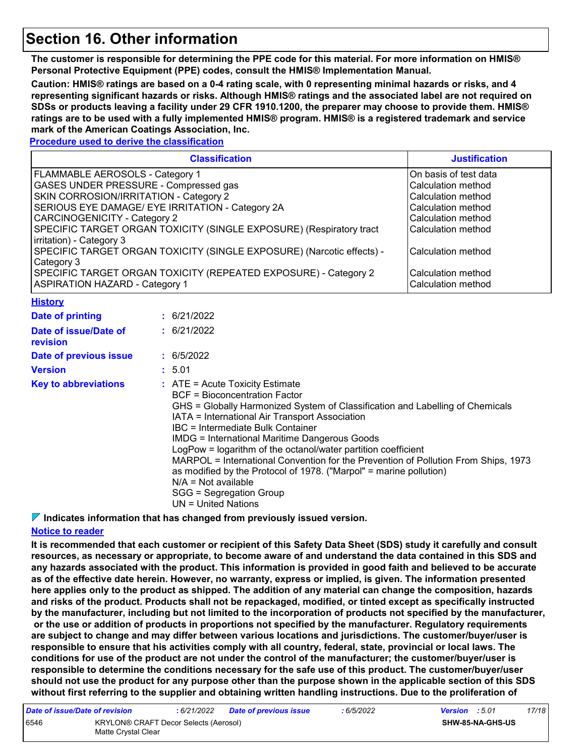### **Section 16. Other information**

**The customer is responsible for determining the PPE code for this material. For more information on HMIS® Personal Protective Equipment (PPE) codes, consult the HMIS® Implementation Manual.**

**Caution: HMIS® ratings are based on a 0-4 rating scale, with 0 representing minimal hazards or risks, and 4 representing significant hazards or risks. Although HMIS® ratings and the associated label are not required on SDSs or products leaving a facility under 29 CFR 1910.1200, the preparer may choose to provide them. HMIS® ratings are to be used with a fully implemented HMIS® program. HMIS® is a registered trademark and service mark of the American Coatings Association, Inc.**

#### **Procedure used to derive the classification**

| <b>Classification</b>                                                                             | <b>Justification</b>                     |  |  |
|---------------------------------------------------------------------------------------------------|------------------------------------------|--|--|
| FLAMMABLE AEROSOLS - Category 1                                                                   | On basis of test data                    |  |  |
| GASES UNDER PRESSURE - Compressed gas                                                             | Calculation method                       |  |  |
| SKIN CORROSION/IRRITATION - Category 2                                                            | Calculation method                       |  |  |
| SERIOUS EYE DAMAGE/ EYE IRRITATION - Category 2A                                                  | Calculation method                       |  |  |
| <b>CARCINOGENICITY - Category 2</b>                                                               | Calculation method                       |  |  |
| SPECIFIC TARGET ORGAN TOXICITY (SINGLE EXPOSURE) (Respiratory tract<br>irritation) - Category 3   | Calculation method                       |  |  |
| SPECIFIC TARGET ORGAN TOXICITY (SINGLE EXPOSURE) (Narcotic effects) -<br>Category 3               | Calculation method                       |  |  |
| SPECIFIC TARGET ORGAN TOXICITY (REPEATED EXPOSURE) - Category 2<br>ASPIRATION HAZARD - Category 1 | Calculation method<br>Calculation method |  |  |

#### **History**

| Date of printing                  | : 6/21/2022                                                                                                                                                                                                                                                                                                                                                                                                                                                                                                                                                                                                           |
|-----------------------------------|-----------------------------------------------------------------------------------------------------------------------------------------------------------------------------------------------------------------------------------------------------------------------------------------------------------------------------------------------------------------------------------------------------------------------------------------------------------------------------------------------------------------------------------------------------------------------------------------------------------------------|
| Date of issue/Date of<br>revision | : 6/21/2022                                                                                                                                                                                                                                                                                                                                                                                                                                                                                                                                                                                                           |
| Date of previous issue            | : 6/5/2022                                                                                                                                                                                                                                                                                                                                                                                                                                                                                                                                                                                                            |
| <b>Version</b>                    | : 5.01                                                                                                                                                                                                                                                                                                                                                                                                                                                                                                                                                                                                                |
| <b>Key to abbreviations</b>       | $\therefore$ ATE = Acute Toxicity Estimate<br>BCF = Bioconcentration Factor<br>GHS = Globally Harmonized System of Classification and Labelling of Chemicals<br>IATA = International Air Transport Association<br>IBC = Intermediate Bulk Container<br><b>IMDG</b> = International Maritime Dangerous Goods<br>LogPow = logarithm of the octanol/water partition coefficient<br>MARPOL = International Convention for the Prevention of Pollution From Ships, 1973<br>as modified by the Protocol of 1978. ("Marpol" = marine pollution)<br>$N/A = Not available$<br>SGG = Segregation Group<br>$UN = United Nations$ |

**Indicates information that has changed from previously issued version.**

#### **Notice to reader**

**It is recommended that each customer or recipient of this Safety Data Sheet (SDS) study it carefully and consult resources, as necessary or appropriate, to become aware of and understand the data contained in this SDS and any hazards associated with the product. This information is provided in good faith and believed to be accurate as of the effective date herein. However, no warranty, express or implied, is given. The information presented here applies only to the product as shipped. The addition of any material can change the composition, hazards and risks of the product. Products shall not be repackaged, modified, or tinted except as specifically instructed by the manufacturer, including but not limited to the incorporation of products not specified by the manufacturer, or the use or addition of products in proportions not specified by the manufacturer. Regulatory requirements are subject to change and may differ between various locations and jurisdictions. The customer/buyer/user is responsible to ensure that his activities comply with all country, federal, state, provincial or local laws. The conditions for use of the product are not under the control of the manufacturer; the customer/buyer/user is responsible to determine the conditions necessary for the safe use of this product. The customer/buyer/user should not use the product for any purpose other than the purpose shown in the applicable section of this SDS without first referring to the supplier and obtaining written handling instructions. Due to the proliferation of** 

| Date of issue/Date of revision |                                                              | : 6/21/2022 | <b>Date of previous issue</b> | : 6/5/2022 | <b>Version</b> : 5.01 |                         | 17/18 |
|--------------------------------|--------------------------------------------------------------|-------------|-------------------------------|------------|-----------------------|-------------------------|-------|
| 6546                           | KRYLON® CRAFT Decor Selects (Aerosol)<br>Matte Crystal Clear |             |                               |            |                       | <b>SHW-85-NA-GHS-US</b> |       |